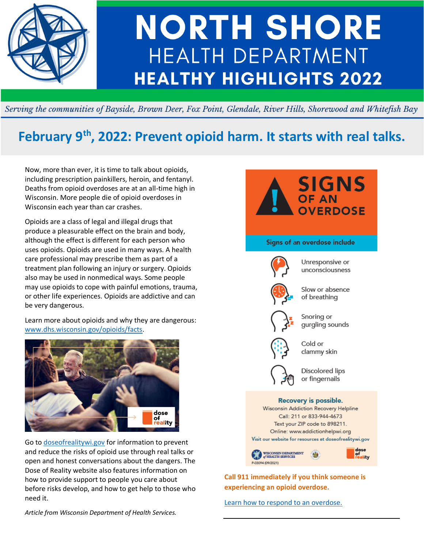

# **NORTH SHORE HEALTH DEPARTMENT HEALTHY HIGHLIGHTS 2022**

Serving the communities of Bayside, Brown Deer, Fox Point, Glendale, River Hills, Shorewood and Whitefish Bay

# **February 9th, 2022: Prevent opioid harm. It starts with real talks.**

Now, more than ever, it is time to talk about opioids, including prescription painkillers, heroin, and fentanyl. Deaths from opioid overdoses are at an all-time high in Wisconsin. More people die of opioid overdoses in Wisconsin each year than car crashes.

Opioids are a class of legal and illegal drugs that produce a pleasurable effect on the brain and body, although the effect is different for each person who uses opioids. Opioids are used in many ways. A health care professional may prescribe them as part of a treatment plan following an injury or surgery. Opioids also may be used in nonmedical ways. Some people may use opioids to cope with painful emotions, trauma, or other life experiences. Opioids are addictive and can be very dangerous.

Learn more about opioids and why they are dangerous: [www.dhs.wisconsin.gov/opioids/facts.](https://www.dhs.wisconsin.gov/opioids/facts.htm)



Go to [doseofrealitywi.gov](https://www.dhs.wisconsin.gov/opioids/index.htm) for information to prevent and reduce the risks of opioid use through real talks or open and honest conversations about the dangers. The Dose of Reality website also features information on how to provide support to people you care about before risks develop, and how to get help to those who need it.



**experiencing an opioid overdose.**

[Learn how to respond to an overdose.](https://www.dhs.wisconsin.gov/opioids/overdose.htm)

*Article from Wisconsin Department of Health Services.*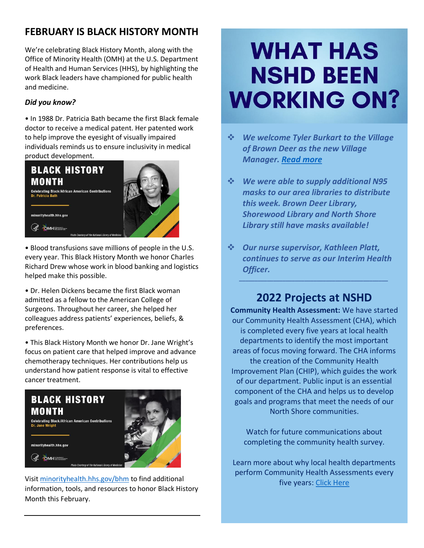# **FEBRUARY IS BLACK HISTORY MONTH**

We're celebrating Black History Month, along with the Office of Minority Health (OMH) at the U.S. Department of Health and Human Services (HHS), by highlighting the work Black leaders have championed for public health and medicine.

## *Did you know?*

• In 1988 Dr. Patricia Bath became the first Black female doctor to receive a medical patent. Her patented work to help improve the eyesight of visually impaired individuals reminds us to ensure inclusivity in medical product development.



• Blood transfusions save millions of people in the U.S. every year. This Black History Month we honor Charles Richard Drew whose work in blood banking and logistics helped make this possible.

• Dr. Helen Dickens became the first Black woman admitted as a fellow to the American College of Surgeons. Throughout her career, she helped her colleagues address patients' experiences, beliefs, & preferences.

• This Black History Month we honor Dr. Jane Wright's focus on patient care that helped improve and advance chemotherapy techniques. Her contributions help us understand how patient response is vital to effective cancer treatment.



Visit [minorityhealth.hhs.gov/bhm](https://minorityhealth.hhs.gov/bhm/) to find additional information, tools, and resources to honor Black History Month this February.

# **WHAT HAS NSHD BEEN WORKING ON?**

- ❖ *We welcome Tyler Burkart to the Village of Brown Deer as the new Village Manager. [Read more](https://www.jsonline.com/story/communities/northshore/news/brown-deer/2022/02/04/brown-deer-announces-new-village-manager-tyler-burkart/6664485001/)*
- ❖ *We were able to supply additional N95 masks to our area libraries to distribute this week. Brown Deer Library, Shorewood Library and North Shore Library still have masks available!*
- ❖ *Our nurse supervisor, Kathleen Platt, continues to serve as our Interim Health Officer.*

## **2022 Projects at NSHD**

*\_\_\_\_\_\_\_\_\_\_\_\_\_\_\_\_\_\_\_\_\_\_\_\_\_\_\_\_\_\_\_\_\_\_\_\_\_\_\_\_\_\_\_\_\_\_\_\_*

**Community Health Assessment:** We have started our Community Health Assessment (CHA), which is completed every five years at local health departments to identify the most important areas of focus moving forward. The CHA informs the creation of the Community Health Improvement Plan (CHIP), which guides the work of our department. Public input is an essential component of the CHA and helps us to develop goals and programs that meet the needs of our North Shore communities.

Watch for future communications about completing the community health survey.

Learn more about why local health departments perform Community Health Assessments every five years[: Click Here](https://www.dhs.wisconsin.gov/chip/index.htm)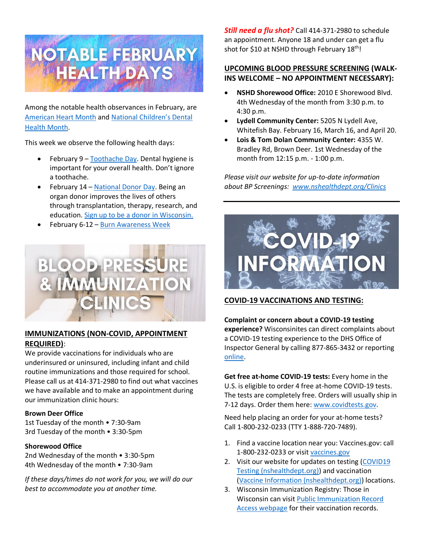

Among the notable health observances in February, are [American Heart Month](https://www.cdc.gov/heartdisease/about.htm) and [National Children's Dental](https://www.ada.org/publications/ada-news/2021/november/2022-national-childrens-dental-health-month-focuses-on-sealants)  [Health Month.](https://www.ada.org/publications/ada-news/2021/november/2022-national-childrens-dental-health-month-focuses-on-sealants)

This week we observe the following health days:

- February 9 [Toothache Day.](https://www.daysoftheyear.com/days/toothache-day/) Dental hygiene is important for your overall health. Don't ignore a toothache.
- February 14 [National Donor Day.](https://www.organdonationalliance.org/insight/february-14-is-national-donor-day/) Being an organ donor improves the lives of others through transplantation, therapy, research, and education. [Sign up to be a donor in Wisconsin.](https://health.wisconsin.gov/donorRegistry/public/donate.html)
- February 6-12 [Burn Awareness Week](https://ameriburn.org/prevention/burn-awareness-week/)



#### **IMMUNIZATIONS (NON-COVID, APPOINTMENT REQUIRED)**:

We provide vaccinations for individuals who are underinsured or uninsured, including infant and child routine immunizations and those required for school. Please call us at 414-371-2980 to find out what vaccines we have available and to make an appointment during our immunization clinic hours:

#### **Brown Deer Office**

1st Tuesday of the month • 7:30-9am 3rd Tuesday of the month • 3:30-5pm

#### **Shorewood Office**

2nd Wednesday of the month • 3:30-5pm 4th Wednesday of the month • 7:30-9am

*If these days/times do not work for you, we will do our best to accommodate you at another time.*

*Still need a flu shot?* Call 414-371-2980 to schedule an appointment. Anyone 18 and under can get a flu shot for \$10 at NSHD through February 18<sup>th</sup>!

#### **UPCOMING BLOOD PRESSURE SCREENING (WALK-INS WELCOME – NO APPOINTMENT NECESSARY):**

- **NSHD Shorewood Office:**2010 E Shorewood Blvd. 4th Wednesday of the month from 3:30 p.m. to 4:30 p.m.
- **Lydell Community Center:** 5205 N Lydell Ave, Whitefish Bay. February 16, March 16, and April 20.
- **Lois & Tom Dolan Community Center:** 4355 W. Bradley Rd, Brown Deer. 1st Wednesday of the month from 12:15 p.m. - 1:00 p.m.

*Please visit our website for up-to-date information about BP Screenings:  [www.nshealthdept.org/Clinics](https://www.nshealthdept.org/Clinics.aspx)*



### **COVID-19 VACCINATIONS AND TESTING:**

**Complaint or concern about a COVID-19 testing experience?** Wisconsinites can direct complaints about a COVID-19 testing experience to the DHS Office of Inspector General by calling 877-865-3432 or reporting [online.](https://www.reportfraud.wisconsin.gov/rptfrd/default.aspx)

**Get free at-home COVID-19 tests:** Every home in the U.S. is eligible to order 4 free at-home COVID-19 tests. The tests are completely free. Orders will usually ship in 7-12 days. Order them here: [www.covidtests.gov.](https://www.covidtests.gov/)

Need help placing an order for your at-home tests? Call 1-800-232-0233 (TTY 1-888-720-7489).

- 1. Find a vaccine location near you: Vaccines.gov: call 1-800-232-0233 or visit [vaccines.gov](https://www.vaccines.gov/search/)
- 2. Visit our website for updates on testing (COVID19) [Testing \(nshealthdept.org\)\)](https://www.nshealthdept.org/CommunicableDiseases/COVID-19/Testing.aspx) and vaccination [\(Vaccine Information \(nshealthdept.org\)\)](https://www.nshealthdept.org/CommunicableDiseases/COVID-19/VaccineInformation.aspx) locations.
- 3. Wisconsin Immunization Registry: Those in Wisconsin can visit [Public Immunization Record](https://www.dhfswir.org/PR/clientSearch.do?language=en)  [Access webpage](https://www.dhfswir.org/PR/clientSearch.do?language=en) for their vaccination records.